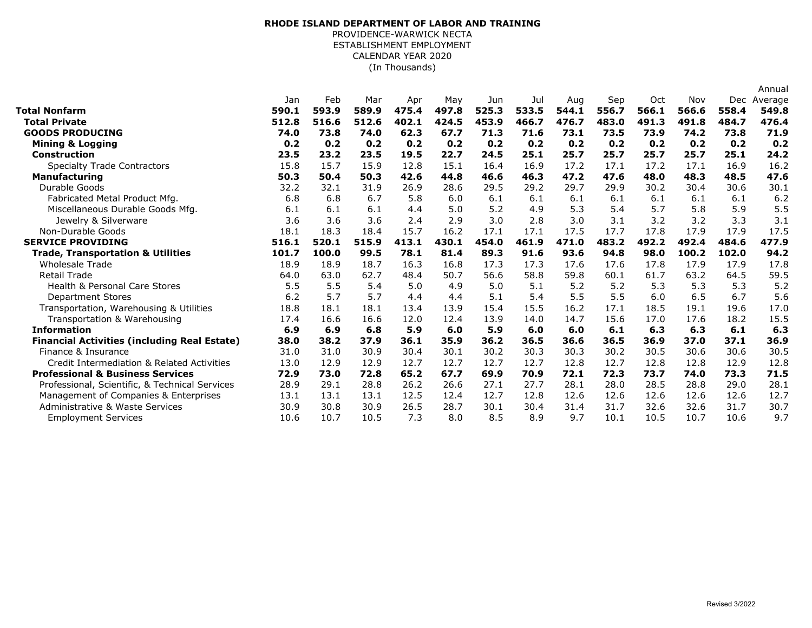## (In Thousands) **RHODE ISLAND DEPARTMENT OF LABOR AND TRAINING** PROVIDENCE-WARWICK NECTA ESTABLISHMENT EMPLOYMENT CALENDAR YEAR 2020

|                                                     |       |       |       |       |       |       |       |       |       |       |       |       | Annual  |
|-----------------------------------------------------|-------|-------|-------|-------|-------|-------|-------|-------|-------|-------|-------|-------|---------|
|                                                     | Jan   | Feb   | Mar   | Apr   | May   | Jun   | Jul   | Aug   | Sep   | Oct   | Nov   | Dec   | Average |
| Total Nonfarm                                       | 590.1 | 593.9 | 589.9 | 475.4 | 497.8 | 525.3 | 533.5 | 544.1 | 556.7 | 566.1 | 566.6 | 558.4 | 549.8   |
| <b>Total Private</b>                                | 512.8 | 516.6 | 512.6 | 402.1 | 424.5 | 453.9 | 466.7 | 476.7 | 483.0 | 491.3 | 491.8 | 484.7 | 476.4   |
| <b>GOODS PRODUCING</b>                              | 74.0  | 73.8  | 74.0  | 62.3  | 67.7  | 71.3  | 71.6  | 73.1  | 73.5  | 73.9  | 74.2  | 73.8  | 71.9    |
| <b>Mining &amp; Logging</b>                         | 0.2   | 0.2   | 0.2   | 0.2   | 0.2   | 0.2   | 0.2   | 0.2   | 0.2   | 0.2   | 0.2   | 0.2   | 0.2     |
| <b>Construction</b>                                 | 23.5  | 23.2  | 23.5  | 19.5  | 22.7  | 24.5  | 25.1  | 25.7  | 25.7  | 25.7  | 25.7  | 25.1  | 24.2    |
| <b>Specialty Trade Contractors</b>                  | 15.8  | 15.7  | 15.9  | 12.8  | 15.1  | 16.4  | 16.9  | 17.2  | 17.1  | 17.2  | 17.1  | 16.9  | 16.2    |
| <b>Manufacturing</b>                                | 50.3  | 50.4  | 50.3  | 42.6  | 44.8  | 46.6  | 46.3  | 47.2  | 47.6  | 48.0  | 48.3  | 48.5  | 47.6    |
| Durable Goods                                       | 32.2  | 32.1  | 31.9  | 26.9  | 28.6  | 29.5  | 29.2  | 29.7  | 29.9  | 30.2  | 30.4  | 30.6  | 30.1    |
| Fabricated Metal Product Mfg.                       | 6.8   | 6.8   | 6.7   | 5.8   | 6.0   | 6.1   | 6.1   | 6.1   | 6.1   | 6.1   | 6.1   | 6.1   | 6.2     |
| Miscellaneous Durable Goods Mfg.                    | 6.1   | 6.1   | 6.1   | 4.4   | 5.0   | 5.2   | 4.9   | 5.3   | 5.4   | 5.7   | 5.8   | 5.9   | 5.5     |
| Jewelry & Silverware                                | 3.6   | 3.6   | 3.6   | 2.4   | 2.9   | 3.0   | 2.8   | 3.0   | 3.1   | 3.2   | 3.2   | 3.3   | 3.1     |
| Non-Durable Goods                                   | 18.1  | 18.3  | 18.4  | 15.7  | 16.2  | 17.1  | 17.1  | 17.5  | 17.7  | 17.8  | 17.9  | 17.9  | 17.5    |
| <b>SERVICE PROVIDING</b>                            | 516.1 | 520.1 | 515.9 | 413.1 | 430.1 | 454.0 | 461.9 | 471.0 | 483.2 | 492.2 | 492.4 | 484.6 | 477.9   |
| <b>Trade, Transportation &amp; Utilities</b>        | 101.7 | 100.0 | 99.5  | 78.1  | 81.4  | 89.3  | 91.6  | 93.6  | 94.8  | 98.0  | 100.2 | 102.0 | 94.2    |
| <b>Wholesale Trade</b>                              | 18.9  | 18.9  | 18.7  | 16.3  | 16.8  | 17.3  | 17.3  | 17.6  | 17.6  | 17.8  | 17.9  | 17.9  | 17.8    |
| <b>Retail Trade</b>                                 | 64.0  | 63.0  | 62.7  | 48.4  | 50.7  | 56.6  | 58.8  | 59.8  | 60.1  | 61.7  | 63.2  | 64.5  | 59.5    |
| <b>Health &amp; Personal Care Stores</b>            | 5.5   | 5.5   | 5.4   | 5.0   | 4.9   | 5.0   | 5.1   | 5.2   | 5.2   | 5.3   | 5.3   | 5.3   | 5.2     |
| <b>Department Stores</b>                            | 6.2   | 5.7   | 5.7   | 4.4   | 4.4   | 5.1   | 5.4   | 5.5   | 5.5   | 6.0   | 6.5   | 6.7   | 5.6     |
| Transportation, Warehousing & Utilities             | 18.8  | 18.1  | 18.1  | 13.4  | 13.9  | 15.4  | 15.5  | 16.2  | 17.1  | 18.5  | 19.1  | 19.6  | 17.0    |
| Transportation & Warehousing                        | 17.4  | 16.6  | 16.6  | 12.0  | 12.4  | 13.9  | 14.0  | 14.7  | 15.6  | 17.0  | 17.6  | 18.2  | 15.5    |
| <b>Information</b>                                  | 6.9   | 6.9   | 6.8   | 5.9   | 6.0   | 5.9   | 6.0   | 6.0   | 6.1   | 6.3   | 6.3   | 6.1   | 6.3     |
| <b>Financial Activities (including Real Estate)</b> | 38.0  | 38.2  | 37.9  | 36.1  | 35.9  | 36.2  | 36.5  | 36.6  | 36.5  | 36.9  | 37.0  | 37.1  | 36.9    |
| Finance & Insurance                                 | 31.0  | 31.0  | 30.9  | 30.4  | 30.1  | 30.2  | 30.3  | 30.3  | 30.2  | 30.5  | 30.6  | 30.6  | 30.5    |
| Credit Intermediation & Related Activities          | 13.0  | 12.9  | 12.9  | 12.7  | 12.7  | 12.7  | 12.7  | 12.8  | 12.7  | 12.8  | 12.8  | 12.9  | 12.8    |
| <b>Professional &amp; Business Services</b>         | 72.9  | 73.0  | 72.8  | 65.2  | 67.7  | 69.9  | 70.9  | 72.1  | 72.3  | 73.7  | 74.0  | 73.3  | 71.5    |
| Professional, Scientific, & Technical Services      | 28.9  | 29.1  | 28.8  | 26.2  | 26.6  | 27.1  | 27.7  | 28.1  | 28.0  | 28.5  | 28.8  | 29.0  | 28.1    |
| Management of Companies & Enterprises               | 13.1  | 13.1  | 13.1  | 12.5  | 12.4  | 12.7  | 12.8  | 12.6  | 12.6  | 12.6  | 12.6  | 12.6  | 12.7    |
| Administrative & Waste Services                     | 30.9  | 30.8  | 30.9  | 26.5  | 28.7  | 30.1  | 30.4  | 31.4  | 31.7  | 32.6  | 32.6  | 31.7  | 30.7    |
| <b>Employment Services</b>                          | 10.6  | 10.7  | 10.5  | 7.3   | 8.0   | 8.5   | 8.9   | 9.7   | 10.1  | 10.5  | 10.7  | 10.6  | 9.7     |